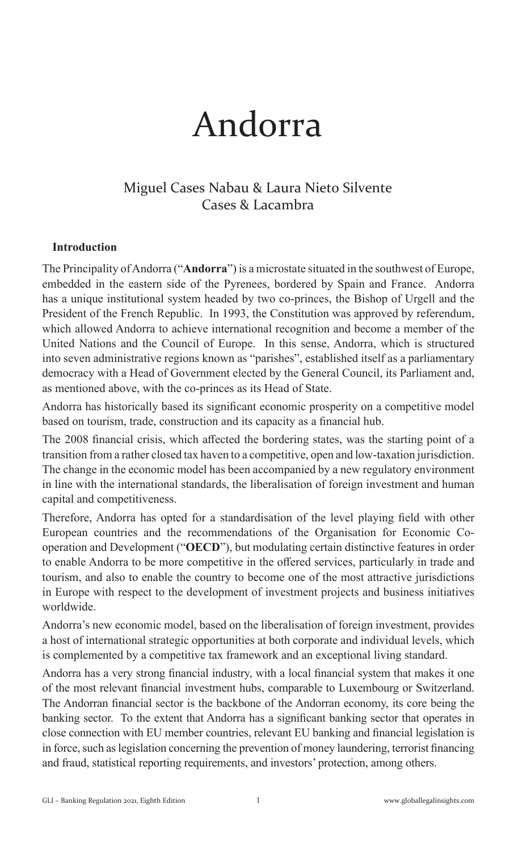# Andorra

# Miguel Cases Nabau & Laura Nieto Silvente Cases & Lacambra

## **Introduction**

The Principality of Andorra ("**Andorra**") is a microstate situated in the southwest of Europe, embedded in the eastern side of the Pyrenees, bordered by Spain and France. Andorra has a unique institutional system headed by two co-princes, the Bishop of Urgell and the President of the French Republic. In 1993, the Constitution was approved by referendum, which allowed Andorra to achieve international recognition and become a member of the United Nations and the Council of Europe. In this sense, Andorra, which is structured into seven administrative regions known as "parishes", established itself as a parliamentary democracy with a Head of Government elected by the General Council, its Parliament and, as mentioned above, with the co-princes as its Head of State.

Andorra has historically based its significant economic prosperity on a competitive model based on tourism, trade, construction and its capacity as a financial hub.

The 2008 financial crisis, which affected the bordering states, was the starting point of a transition from a rather closed tax haven to a competitive, open and low-taxation jurisdiction. The change in the economic model has been accompanied by a new regulatory environment in line with the international standards, the liberalisation of foreign investment and human capital and competitiveness.

Therefore, Andorra has opted for a standardisation of the level playing field with other European countries and the recommendations of the Organisation for Economic Cooperation and Development ("**OECD**"), but modulating certain distinctive features in order to enable Andorra to be more competitive in the offered services, particularly in trade and tourism, and also to enable the country to become one of the most attractive jurisdictions in Europe with respect to the development of investment projects and business initiatives worldwide.

Andorra's new economic model, based on the liberalisation of foreign investment, provides a host of international strategic opportunities at both corporate and individual levels, which is complemented by a competitive tax framework and an exceptional living standard.

Andorra has a very strong financial industry, with a local financial system that makes it one of the most relevant financial investment hubs, comparable to Luxembourg or Switzerland. The Andorran financial sector is the backbone of the Andorran economy, its core being the banking sector. To the extent that Andorra has a significant banking sector that operates in close connection with EU member countries, relevant EU banking and financial legislation is in force, such as legislation concerning the prevention of money laundering, terrorist financing and fraud, statistical reporting requirements, and investors' protection, among others.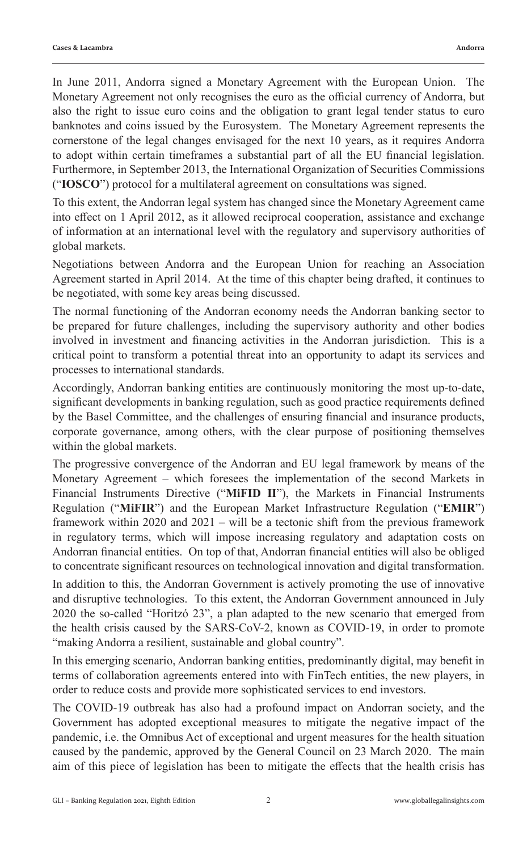In June 2011, Andorra signed a Monetary Agreement with the European Union. The Monetary Agreement not only recognises the euro as the official currency of Andorra, but also the right to issue euro coins and the obligation to grant legal tender status to euro banknotes and coins issued by the Eurosystem. The Monetary Agreement represents the cornerstone of the legal changes envisaged for the next 10 years, as it requires Andorra to adopt within certain timeframes a substantial part of all the EU financial legislation. Furthermore, in September 2013, the International Organization of Securities Commissions ("**IOSCO**") protocol for a multilateral agreement on consultations was signed.

To this extent, the Andorran legal system has changed since the Monetary Agreement came into effect on 1 April 2012, as it allowed reciprocal cooperation, assistance and exchange of information at an international level with the regulatory and supervisory authorities of global markets.

Negotiations between Andorra and the European Union for reaching an Association Agreement started in April 2014. At the time of this chapter being drafted, it continues to be negotiated, with some key areas being discussed.

The normal functioning of the Andorran economy needs the Andorran banking sector to be prepared for future challenges, including the supervisory authority and other bodies involved in investment and financing activities in the Andorran jurisdiction. This is a critical point to transform a potential threat into an opportunity to adapt its services and processes to international standards.

Accordingly, Andorran banking entities are continuously monitoring the most up-to-date, significant developments in banking regulation, such as good practice requirements defined by the Basel Committee, and the challenges of ensuring financial and insurance products, corporate governance, among others, with the clear purpose of positioning themselves within the global markets.

The progressive convergence of the Andorran and EU legal framework by means of the Monetary Agreement – which foresees the implementation of the second Markets in Financial Instruments Directive ("**MiFID II**"), the Markets in Financial Instruments Regulation ("**MiFIR**") and the European Market Infrastructure Regulation ("**EMIR**") framework within 2020 and 2021 – will be a tectonic shift from the previous framework in regulatory terms, which will impose increasing regulatory and adaptation costs on Andorran financial entities. On top of that, Andorran financial entities will also be obliged to concentrate significant resources on technological innovation and digital transformation.

In addition to this, the Andorran Government is actively promoting the use of innovative and disruptive technologies. To this extent, the Andorran Government announced in July 2020 the so-called "Horitzó 23", a plan adapted to the new scenario that emerged from the health crisis caused by the SARS-CoV-2, known as COVID-19, in order to promote "making Andorra a resilient, sustainable and global country".

In this emerging scenario, Andorran banking entities, predominantly digital, may benefit in terms of collaboration agreements entered into with FinTech entities, the new players, in order to reduce costs and provide more sophisticated services to end investors.

The COVID-19 outbreak has also had a profound impact on Andorran society, and the Government has adopted exceptional measures to mitigate the negative impact of the pandemic, i.e. the Omnibus Act of exceptional and urgent measures for the health situation caused by the pandemic, approved by the General Council on 23 March 2020. The main aim of this piece of legislation has been to mitigate the effects that the health crisis has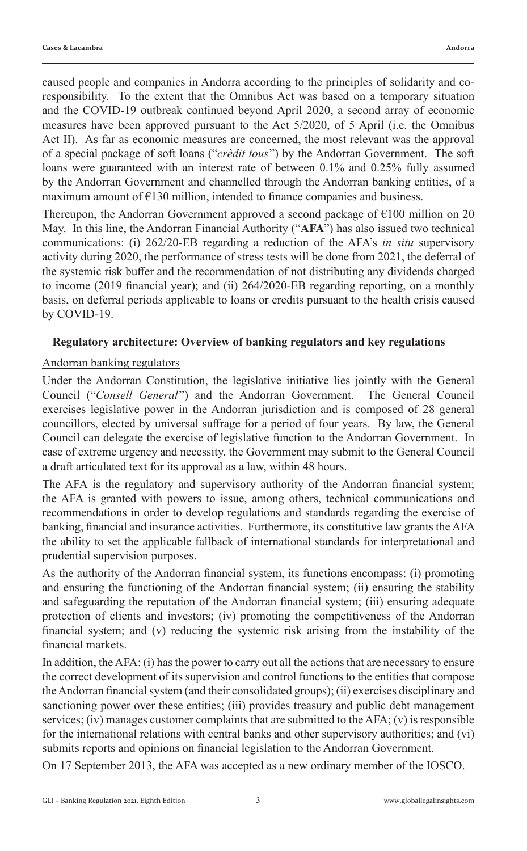caused people and companies in Andorra according to the principles of solidarity and coresponsibility. To the extent that the Omnibus Act was based on a temporary situation and the COVID-19 outbreak continued beyond April 2020, a second array of economic measures have been approved pursuant to the Act 5/2020, of 5 April (i.e. the Omnibus Act II). As far as economic measures are concerned, the most relevant was the approval of a special package of soft loans ("*crèdit tous*") by the Andorran Government. The soft loans were guaranteed with an interest rate of between 0.1% and 0.25% fully assumed by the Andorran Government and channelled through the Andorran banking entities, of a maximum amount of  $E$ 130 million, intended to finance companies and business.

Thereupon, the Andorran Government approved a second package of  $E100$  million on 20 May. In this line, the Andorran Financial Authority ("**AFA**") has also issued two technical communications: (i) 262/20-EB regarding a reduction of the AFA's *in situ* supervisory activity during 2020, the performance of stress tests will be done from 2021, the deferral of the systemic risk buffer and the recommendation of not distributing any dividends charged to income (2019 financial year); and (ii) 264/2020-EB regarding reporting, on a monthly basis, on deferral periods applicable to loans or credits pursuant to the health crisis caused by COVID-19.

## **Regulatory architecture: Overview of banking regulators and key regulations**

## Andorran banking regulators

Under the Andorran Constitution, the legislative initiative lies jointly with the General Council ("*Consell General*") and the Andorran Government. The General Council exercises legislative power in the Andorran jurisdiction and is composed of 28 general councillors, elected by universal suffrage for a period of four years. By law, the General Council can delegate the exercise of legislative function to the Andorran Government. In case of extreme urgency and necessity, the Government may submit to the General Council a draft articulated text for its approval as a law, within 48 hours.

The AFA is the regulatory and supervisory authority of the Andorran financial system; the AFA is granted with powers to issue, among others, technical communications and recommendations in order to develop regulations and standards regarding the exercise of banking, financial and insurance activities. Furthermore, its constitutive law grants the AFA the ability to set the applicable fallback of international standards for interpretational and prudential supervision purposes.

As the authority of the Andorran financial system, its functions encompass: (i) promoting and ensuring the functioning of the Andorran financial system; (ii) ensuring the stability and safeguarding the reputation of the Andorran financial system; (iii) ensuring adequate protection of clients and investors; (iv) promoting the competitiveness of the Andorran financial system; and (v) reducing the systemic risk arising from the instability of the financial markets.

In addition, the AFA: (i) has the power to carry out all the actions that are necessary to ensure the correct development of its supervision and control functions to the entities that compose the Andorran financial system (and their consolidated groups); (ii) exercises disciplinary and sanctioning power over these entities; (iii) provides treasury and public debt management services; (iv) manages customer complaints that are submitted to the  $AFA$ ; (v) is responsible for the international relations with central banks and other supervisory authorities; and (vi) submits reports and opinions on financial legislation to the Andorran Government.

On 17 September 2013, the AFA was accepted as a new ordinary member of the IOSCO.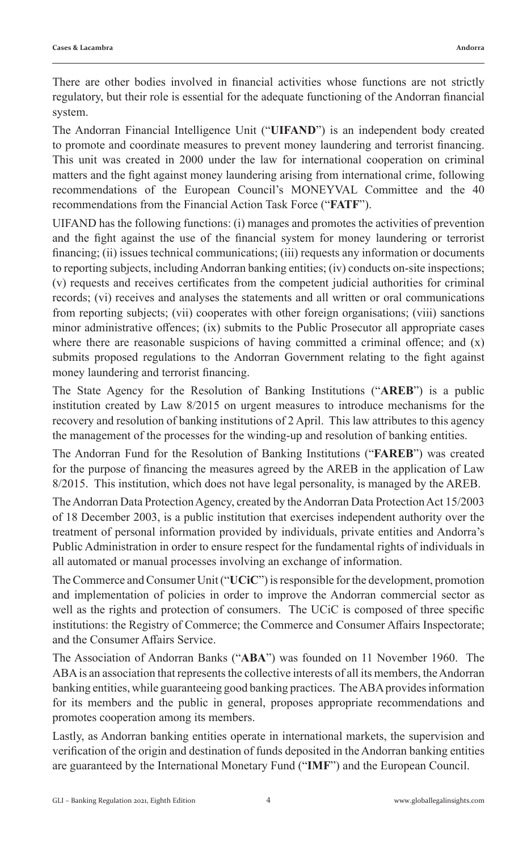There are other bodies involved in financial activities whose functions are not strictly regulatory, but their role is essential for the adequate functioning of the Andorran financial system.

The Andorran Financial Intelligence Unit ("**UIFAND**") is an independent body created to promote and coordinate measures to prevent money laundering and terrorist financing. This unit was created in 2000 under the law for international cooperation on criminal matters and the fight against money laundering arising from international crime, following recommendations of the European Council's MONEYVAL Committee and the 40 recommendations from the Financial Action Task Force ("**FATF**").

UIFAND has the following functions: (i) manages and promotes the activities of prevention and the fight against the use of the financial system for money laundering or terrorist financing; (ii) issues technical communications; (iii) requests any information or documents to reporting subjects, including Andorran banking entities; (iv) conducts on-site inspections; (v) requests and receives certificates from the competent judicial authorities for criminal records; (vi) receives and analyses the statements and all written or oral communications from reporting subjects; (vii) cooperates with other foreign organisations; (viii) sanctions minor administrative offences; (ix) submits to the Public Prosecutor all appropriate cases where there are reasonable suspicions of having committed a criminal offence; and  $(x)$ submits proposed regulations to the Andorran Government relating to the fight against money laundering and terrorist financing.

The State Agency for the Resolution of Banking Institutions ("**AREB**") is a public institution created by Law 8/2015 on urgent measures to introduce mechanisms for the recovery and resolution of banking institutions of 2 April. This law attributes to this agency the management of the processes for the winding-up and resolution of banking entities.

The Andorran Fund for the Resolution of Banking Institutions ("**FAREB**") was created for the purpose of financing the measures agreed by the AREB in the application of Law 8/2015. This institution, which does not have legal personality, is managed by the AREB.

The Andorran Data Protection Agency, created by the Andorran Data Protection Act 15/2003 of 18 December 2003, is a public institution that exercises independent authority over the treatment of personal information provided by individuals, private entities and Andorra's Public Administration in order to ensure respect for the fundamental rights of individuals in all automated or manual processes involving an exchange of information.

The Commerce and Consumer Unit ("**UCiC**") is responsible for the development, promotion and implementation of policies in order to improve the Andorran commercial sector as well as the rights and protection of consumers. The UCiC is composed of three specific institutions: the Registry of Commerce; the Commerce and Consumer Affairs Inspectorate; and the Consumer Affairs Service.

The Association of Andorran Banks ("**ABA**") was founded on 11 November 1960. The ABA is an association that represents the collective interests of all its members, the Andorran banking entities, while guaranteeing good banking practices. The ABA provides information for its members and the public in general, proposes appropriate recommendations and promotes cooperation among its members.

Lastly, as Andorran banking entities operate in international markets, the supervision and verification of the origin and destination of funds deposited in the Andorran banking entities are guaranteed by the International Monetary Fund ("**IMF**") and the European Council.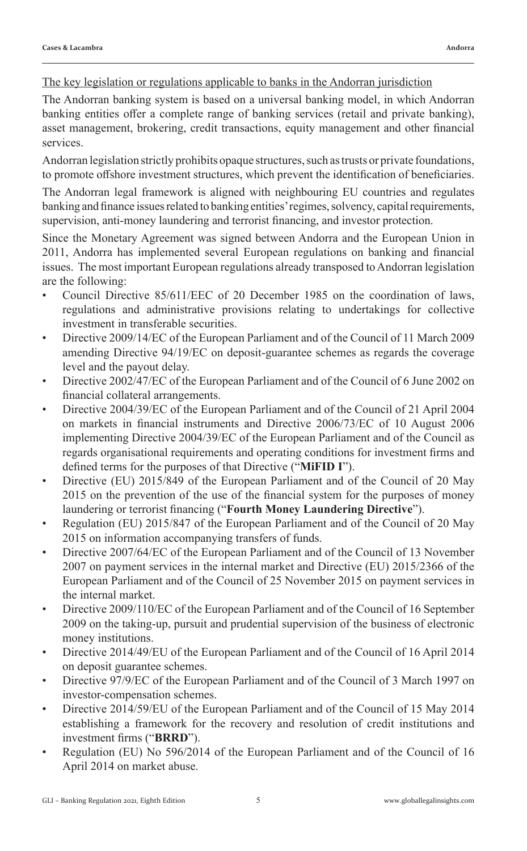#### The key legislation or regulations applicable to banks in the Andorran jurisdiction

The Andorran banking system is based on a universal banking model, in which Andorran banking entities offer a complete range of banking services (retail and private banking), asset management, brokering, credit transactions, equity management and other financial services.

Andorran legislation strictly prohibits opaque structures, such as trusts or private foundations, to promote offshore investment structures, which prevent the identification of beneficiaries.

The Andorran legal framework is aligned with neighbouring EU countries and regulates banking and finance issues related to banking entities' regimes, solvency, capital requirements, supervision, anti-money laundering and terrorist financing, and investor protection.

Since the Monetary Agreement was signed between Andorra and the European Union in 2011, Andorra has implemented several European regulations on banking and financial issues. The most important European regulations already transposed to Andorran legislation are the following:

- Council Directive 85/611/EEC of 20 December 1985 on the coordination of laws, regulations and administrative provisions relating to undertakings for collective investment in transferable securities.
- Directive 2009/14/EC of the European Parliament and of the Council of 11 March 2009 amending Directive 94/19/EC on deposit-guarantee schemes as regards the coverage level and the payout delay.
- Directive 2002/47/EC of the European Parliament and of the Council of 6 June 2002 on financial collateral arrangements.
- Directive 2004/39/EC of the European Parliament and of the Council of 21 April 2004 on markets in financial instruments and Directive 2006/73/EC of 10 August 2006 implementing Directive 2004/39/EC of the European Parliament and of the Council as regards organisational requirements and operating conditions for investment firms and defined terms for the purposes of that Directive ("**MiFID I**").
- Directive (EU) 2015/849 of the European Parliament and of the Council of 20 May 2015 on the prevention of the use of the financial system for the purposes of money laundering or terrorist financing ("**Fourth Money Laundering Directive**").
- Regulation (EU) 2015/847 of the European Parliament and of the Council of 20 May 2015 on information accompanying transfers of funds.
- Directive 2007/64/EC of the European Parliament and of the Council of 13 November 2007 on payment services in the internal market and Directive (EU) 2015/2366 of the European Parliament and of the Council of 25 November 2015 on payment services in the internal market.
- Directive 2009/110/EC of the European Parliament and of the Council of 16 September 2009 on the taking-up, pursuit and prudential supervision of the business of electronic money institutions.
- Directive 2014/49/EU of the European Parliament and of the Council of 16 April 2014 on deposit guarantee schemes.
- Directive 97/9/EC of the European Parliament and of the Council of 3 March 1997 on investor-compensation schemes.
- Directive 2014/59/EU of the European Parliament and of the Council of 15 May 2014 establishing a framework for the recovery and resolution of credit institutions and investment firms ("**BRRD**").
- Regulation (EU) No 596/2014 of the European Parliament and of the Council of 16 April 2014 on market abuse.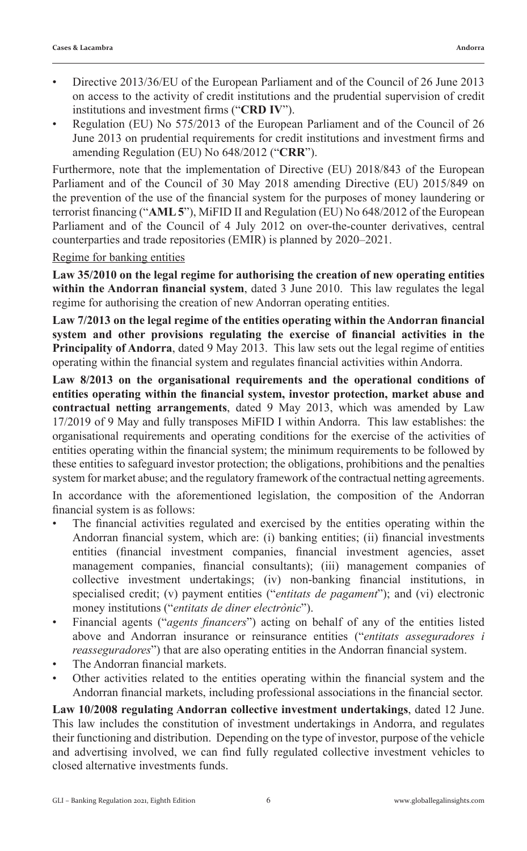- Directive 2013/36/EU of the European Parliament and of the Council of 26 June 2013 on access to the activity of credit institutions and the prudential supervision of credit institutions and investment firms ("**CRD IV**").
- Regulation (EU) No 575/2013 of the European Parliament and of the Council of 26 June 2013 on prudential requirements for credit institutions and investment firms and amending Regulation (EU) No 648/2012 ("**CRR**").

Furthermore, note that the implementation of Directive (EU) 2018/843 of the European Parliament and of the Council of 30 May 2018 amending Directive (EU) 2015/849 on the prevention of the use of the financial system for the purposes of money laundering or terrorist financing ("**AML 5**"), MiFID II and Regulation (EU) No 648/2012 of the European Parliament and of the Council of 4 July 2012 on over-the-counter derivatives, central counterparties and trade repositories (EMIR) is planned by 2020–2021.

## Regime for banking entities

**Law 35/2010 on the legal regime for authorising the creation of new operating entities within the Andorran financial system**, dated 3 June 2010. This law regulates the legal regime for authorising the creation of new Andorran operating entities.

**Law 7/2013 on the legal regime of the entities operating within the Andorran financial system and other provisions regulating the exercise of financial activities in the Principality of Andorra**, dated 9 May 2013. This law sets out the legal regime of entities operating within the financial system and regulates financial activities within Andorra.

**Law 8/2013 on the organisational requirements and the operational conditions of entities operating within the financial system, investor protection, market abuse and contractual netting arrangements**, dated 9 May 2013, which was amended by Law 17/2019 of 9 May and fully transposes MiFID I within Andorra. This law establishes: the organisational requirements and operating conditions for the exercise of the activities of entities operating within the financial system; the minimum requirements to be followed by these entities to safeguard investor protection; the obligations, prohibitions and the penalties system for market abuse; and the regulatory framework of the contractual netting agreements.

In accordance with the aforementioned legislation, the composition of the Andorran financial system is as follows:

- The financial activities regulated and exercised by the entities operating within the Andorran financial system, which are: (i) banking entities; (ii) financial investments entities (financial investment companies, financial investment agencies, asset management companies, financial consultants); (iii) management companies of collective investment undertakings; (iv) non-banking financial institutions, in specialised credit; (v) payment entities ("*entitats de pagament*"); and (vi) electronic money institutions ("*entitats de diner electrònic*").
- Financial agents ("*agents financers*") acting on behalf of any of the entities listed above and Andorran insurance or reinsurance entities ("*entitats asseguradores i reasseguradores*") that are also operating entities in the Andorran financial system.
- The Andorran financial markets.
- Other activities related to the entities operating within the financial system and the Andorran financial markets, including professional associations in the financial sector.

**Law 10/2008 regulating Andorran collective investment undertakings**, dated 12 June. This law includes the constitution of investment undertakings in Andorra, and regulates their functioning and distribution. Depending on the type of investor, purpose of the vehicle and advertising involved, we can find fully regulated collective investment vehicles to closed alternative investments funds.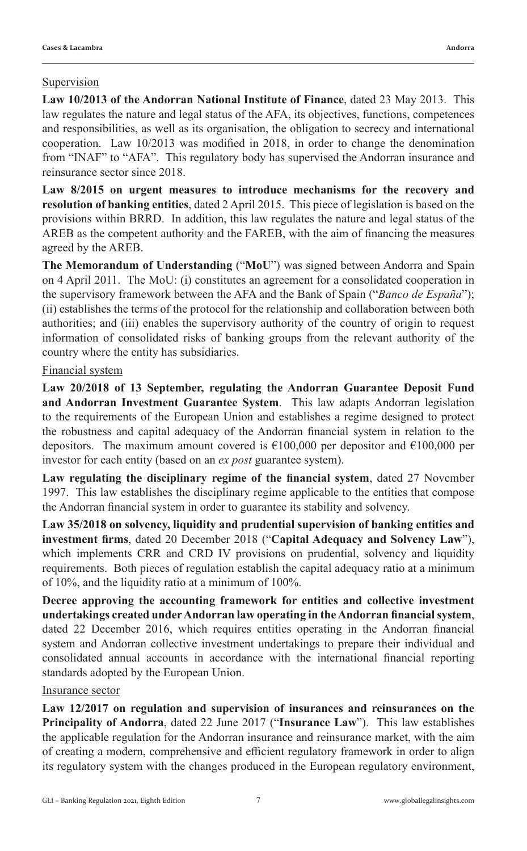## Supervision

**Law 10/2013 of the Andorran National Institute of Finance**, dated 23 May 2013. This law regulates the nature and legal status of the AFA, its objectives, functions, competences and responsibilities, as well as its organisation, the obligation to secrecy and international cooperation. Law 10/2013 was modified in 2018, in order to change the denomination from "INAF" to "AFA". This regulatory body has supervised the Andorran insurance and reinsurance sector since 2018.

**Law 8/2015 on urgent measures to introduce mechanisms for the recovery and resolution of banking entities**, dated 2 April 2015. This piece of legislation is based on the provisions within BRRD. In addition, this law regulates the nature and legal status of the AREB as the competent authority and the FAREB, with the aim of financing the measures agreed by the AREB.

**The Memorandum of Understanding** ("**MoU**") was signed between Andorra and Spain on 4 April 2011. The MoU: (i) constitutes an agreement for a consolidated cooperation in the supervisory framework between the AFA and the Bank of Spain ("*Banco de España*"); (ii) establishes the terms of the protocol for the relationship and collaboration between both authorities; and (iii) enables the supervisory authority of the country of origin to request information of consolidated risks of banking groups from the relevant authority of the country where the entity has subsidiaries.

## Financial system

**Law 20/2018 of 13 September, regulating the Andorran Guarantee Deposit Fund and Andorran Investment Guarantee System**. This law adapts Andorran legislation to the requirements of the European Union and establishes a regime designed to protect the robustness and capital adequacy of the Andorran financial system in relation to the depositors. The maximum amount covered is  $\epsilon$ 100,000 per depositor and  $\epsilon$ 100,000 per investor for each entity (based on an *ex post* guarantee system).

**Law regulating the disciplinary regime of the financial system**, dated 27 November 1997. This law establishes the disciplinary regime applicable to the entities that compose the Andorran financial system in order to guarantee its stability and solvency.

**Law 35/2018 on solvency, liquidity and prudential supervision of banking entities and investment firms**, dated 20 December 2018 ("**Capital Adequacy and Solvency Law**"), which implements CRR and CRD IV provisions on prudential, solvency and liquidity requirements. Both pieces of regulation establish the capital adequacy ratio at a minimum of 10%, and the liquidity ratio at a minimum of 100%.

**Decree approving the accounting framework for entities and collective investment undertakings created under Andorran law operating in the Andorran financial system**, dated 22 December 2016, which requires entities operating in the Andorran financial system and Andorran collective investment undertakings to prepare their individual and consolidated annual accounts in accordance with the international financial reporting standards adopted by the European Union.

#### Insurance sector

**Law 12/2017 on regulation and supervision of insurances and reinsurances on the Principality of Andorra**, dated 22 June 2017 ("**Insurance Law**"). This law establishes the applicable regulation for the Andorran insurance and reinsurance market, with the aim of creating a modern, comprehensive and efficient regulatory framework in order to align its regulatory system with the changes produced in the European regulatory environment,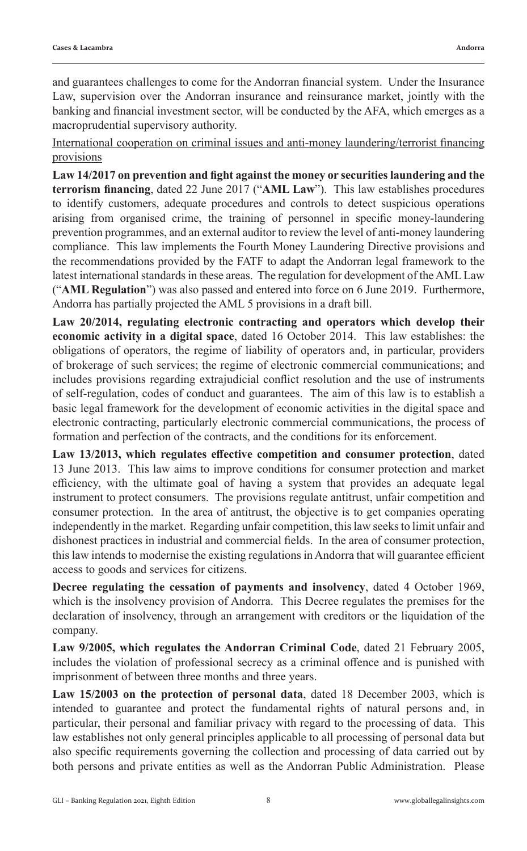and guarantees challenges to come for the Andorran financial system. Under the Insurance Law, supervision over the Andorran insurance and reinsurance market, jointly with the banking and financial investment sector, will be conducted by the AFA, which emerges as a macroprudential supervisory authority.

International cooperation on criminal issues and anti-money laundering/terrorist financing provisions

**Law 14/2017 on prevention and fight against the money or securities laundering and the terrorism financing**, dated 22 June 2017 ("**AML Law**"). This law establishes procedures to identify customers, adequate procedures and controls to detect suspicious operations arising from organised crime, the training of personnel in specific money-laundering prevention programmes, and an external auditor to review the level of anti-money laundering compliance. This law implements the Fourth Money Laundering Directive provisions and the recommendations provided by the FATF to adapt the Andorran legal framework to the latest international standards in these areas. The regulation for development of the AML Law ("**AML Regulation**") was also passed and entered into force on 6 June 2019. Furthermore, Andorra has partially projected the AML 5 provisions in a draft bill.

**Law 20/2014, regulating electronic contracting and operators which develop their economic activity in a digital space**, dated 16 October 2014. This law establishes: the obligations of operators, the regime of liability of operators and, in particular, providers of brokerage of such services; the regime of electronic commercial communications; and includes provisions regarding extrajudicial conflict resolution and the use of instruments of self-regulation, codes of conduct and guarantees. The aim of this law is to establish a basic legal framework for the development of economic activities in the digital space and electronic contracting, particularly electronic commercial communications, the process of formation and perfection of the contracts, and the conditions for its enforcement.

**Law 13/2013, which regulates effective competition and consumer protection**, dated 13 June 2013. This law aims to improve conditions for consumer protection and market efficiency, with the ultimate goal of having a system that provides an adequate legal instrument to protect consumers. The provisions regulate antitrust, unfair competition and consumer protection. In the area of antitrust, the objective is to get companies operating independently in the market. Regarding unfair competition, this law seeks to limit unfair and dishonest practices in industrial and commercial fields. In the area of consumer protection, this law intends to modernise the existing regulations in Andorra that will guarantee efficient access to goods and services for citizens.

**Decree regulating the cessation of payments and insolvency**, dated 4 October 1969, which is the insolvency provision of Andorra. This Decree regulates the premises for the declaration of insolvency, through an arrangement with creditors or the liquidation of the company.

**Law 9/2005, which regulates the Andorran Criminal Code**, dated 21 February 2005, includes the violation of professional secrecy as a criminal offence and is punished with imprisonment of between three months and three years.

**Law 15/2003 on the protection of personal data**, dated 18 December 2003, which is intended to guarantee and protect the fundamental rights of natural persons and, in particular, their personal and familiar privacy with regard to the processing of data. This law establishes not only general principles applicable to all processing of personal data but also specific requirements governing the collection and processing of data carried out by both persons and private entities as well as the Andorran Public Administration. Please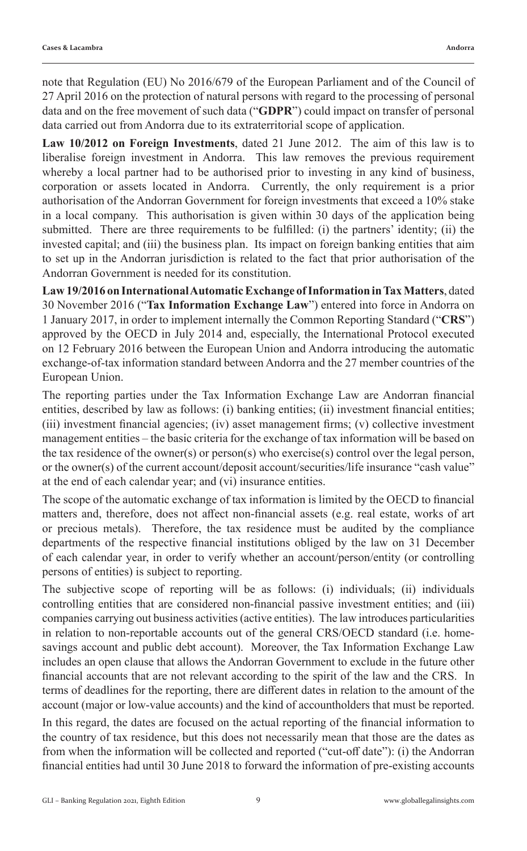note that Regulation (EU) No 2016/679 of the European Parliament and of the Council of 27 April 2016 on the protection of natural persons with regard to the processing of personal data and on the free movement of such data ("**GDPR**") could impact on transfer of personal data carried out from Andorra due to its extraterritorial scope of application.

**Law 10/2012 on Foreign Investments**, dated 21 June 2012. The aim of this law is to liberalise foreign investment in Andorra. This law removes the previous requirement whereby a local partner had to be authorised prior to investing in any kind of business, corporation or assets located in Andorra. Currently, the only requirement is a prior authorisation of the Andorran Government for foreign investments that exceed a 10% stake in a local company. This authorisation is given within 30 days of the application being submitted. There are three requirements to be fulfilled: (i) the partners' identity; (ii) the invested capital; and (iii) the business plan. Its impact on foreign banking entities that aim to set up in the Andorran jurisdiction is related to the fact that prior authorisation of the Andorran Government is needed for its constitution.

**Law 19/2016 on International Automatic Exchange of Information in Tax Matters**, dated 30 November 2016 ("**Tax Information Exchange Law**") entered into force in Andorra on 1 January 2017, in order to implement internally the Common Reporting Standard ("**CRS**") approved by the OECD in July 2014 and, especially, the International Protocol executed on 12 February 2016 between the European Union and Andorra introducing the automatic exchange-of-tax information standard between Andorra and the 27 member countries of the European Union.

The reporting parties under the Tax Information Exchange Law are Andorran financial entities, described by law as follows: (i) banking entities; (ii) investment financial entities; (iii) investment financial agencies; (iv) asset management firms; (v) collective investment management entities – the basic criteria for the exchange of tax information will be based on the tax residence of the owner(s) or person(s) who exercise(s) control over the legal person, or the owner(s) of the current account/deposit account/securities/life insurance "cash value" at the end of each calendar year; and (vi) insurance entities.

The scope of the automatic exchange of tax information is limited by the OECD to financial matters and, therefore, does not affect non-financial assets (e.g. real estate, works of art or precious metals). Therefore, the tax residence must be audited by the compliance departments of the respective financial institutions obliged by the law on 31 December of each calendar year, in order to verify whether an account/person/entity (or controlling persons of entities) is subject to reporting.

The subjective scope of reporting will be as follows: (i) individuals; (ii) individuals controlling entities that are considered non-financial passive investment entities; and (iii) companies carrying out business activities (active entities). The law introduces particularities in relation to non-reportable accounts out of the general CRS/OECD standard (i.e. homesavings account and public debt account). Moreover, the Tax Information Exchange Law includes an open clause that allows the Andorran Government to exclude in the future other financial accounts that are not relevant according to the spirit of the law and the CRS. In terms of deadlines for the reporting, there are different dates in relation to the amount of the account (major or low-value accounts) and the kind of accountholders that must be reported.

In this regard, the dates are focused on the actual reporting of the financial information to the country of tax residence, but this does not necessarily mean that those are the dates as from when the information will be collected and reported ("cut-off date"): (i) the Andorran financial entities had until 30 June 2018 to forward the information of pre-existing accounts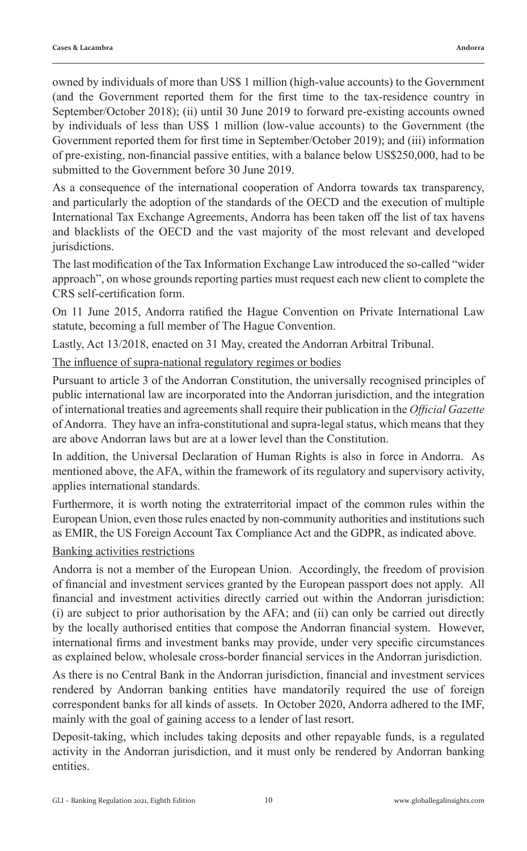owned by individuals of more than US\$ 1 million (high-value accounts) to the Government (and the Government reported them for the first time to the tax-residence country in September/October 2018); (ii) until 30 June 2019 to forward pre-existing accounts owned by individuals of less than US\$ 1 million (low-value accounts) to the Government (the Government reported them for first time in September/October 2019); and (iii) information of pre-existing, non-financial passive entities, with a balance below US\$250,000, had to be submitted to the Government before 30 June 2019.

As a consequence of the international cooperation of Andorra towards tax transparency, and particularly the adoption of the standards of the OECD and the execution of multiple International Tax Exchange Agreements, Andorra has been taken off the list of tax havens and blacklists of the OECD and the vast majority of the most relevant and developed jurisdictions.

The last modification of the Tax Information Exchange Law introduced the so-called "wider approach", on whose grounds reporting parties must request each new client to complete the CRS self-certification form.

On 11 June 2015, Andorra ratified the Hague Convention on Private International Law statute, becoming a full member of The Hague Convention.

Lastly, Act 13/2018, enacted on 31 May, created the Andorran Arbitral Tribunal.

## The influence of supra-national regulatory regimes or bodies

Pursuant to article 3 of the Andorran Constitution, the universally recognised principles of public international law are incorporated into the Andorran jurisdiction, and the integration of international treaties and agreements shall require their publication in the *Official Gazette* of Andorra. They have an infra-constitutional and supra-legal status, which means that they are above Andorran laws but are at a lower level than the Constitution.

In addition, the Universal Declaration of Human Rights is also in force in Andorra. As mentioned above, the AFA, within the framework of its regulatory and supervisory activity, applies international standards.

Furthermore, it is worth noting the extraterritorial impact of the common rules within the European Union, even those rules enacted by non-community authorities and institutions such as EMIR, the US Foreign Account Tax Compliance Act and the GDPR, as indicated above.

## Banking activities restrictions

Andorra is not a member of the European Union. Accordingly, the freedom of provision of financial and investment services granted by the European passport does not apply. All financial and investment activities directly carried out within the Andorran jurisdiction: (i) are subject to prior authorisation by the AFA; and (ii) can only be carried out directly by the locally authorised entities that compose the Andorran financial system. However, international firms and investment banks may provide, under very specific circumstances as explained below, wholesale cross-border financial services in the Andorran jurisdiction.

As there is no Central Bank in the Andorran jurisdiction, financial and investment services rendered by Andorran banking entities have mandatorily required the use of foreign correspondent banks for all kinds of assets. In October 2020, Andorra adhered to the IMF, mainly with the goal of gaining access to a lender of last resort.

Deposit-taking, which includes taking deposits and other repayable funds, is a regulated activity in the Andorran jurisdiction, and it must only be rendered by Andorran banking entities.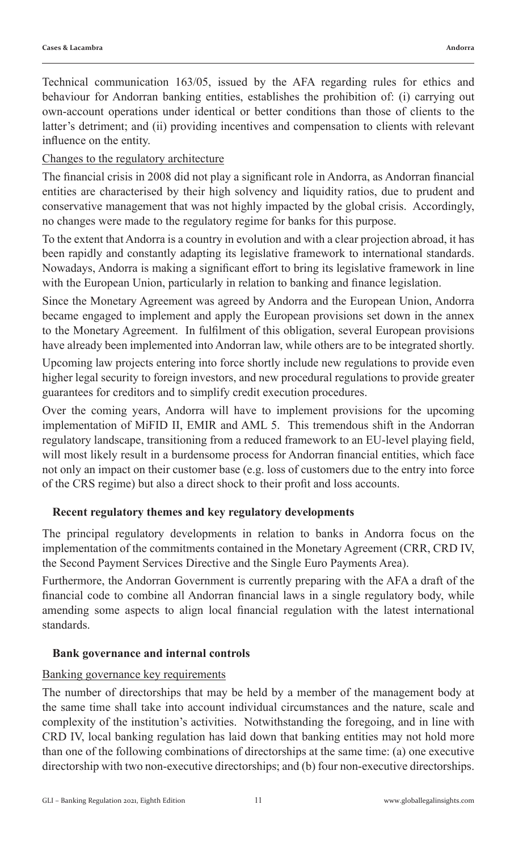Technical communication 163/05, issued by the AFA regarding rules for ethics and behaviour for Andorran banking entities, establishes the prohibition of: (i) carrying out own-account operations under identical or better conditions than those of clients to the latter's detriment; and (ii) providing incentives and compensation to clients with relevant influence on the entity.

## Changes to the regulatory architecture

The financial crisis in 2008 did not play a significant role in Andorra, as Andorran financial entities are characterised by their high solvency and liquidity ratios, due to prudent and conservative management that was not highly impacted by the global crisis. Accordingly, no changes were made to the regulatory regime for banks for this purpose.

To the extent that Andorra is a country in evolution and with a clear projection abroad, it has been rapidly and constantly adapting its legislative framework to international standards. Nowadays, Andorra is making a significant effort to bring its legislative framework in line with the European Union, particularly in relation to banking and finance legislation.

Since the Monetary Agreement was agreed by Andorra and the European Union, Andorra became engaged to implement and apply the European provisions set down in the annex to the Monetary Agreement. In fulfilment of this obligation, several European provisions have already been implemented into Andorran law, while others are to be integrated shortly.

Upcoming law projects entering into force shortly include new regulations to provide even higher legal security to foreign investors, and new procedural regulations to provide greater guarantees for creditors and to simplify credit execution procedures.

Over the coming years, Andorra will have to implement provisions for the upcoming implementation of MiFID II, EMIR and AML 5. This tremendous shift in the Andorran regulatory landscape, transitioning from a reduced framework to an EU-level playing field, will most likely result in a burdensome process for Andorran financial entities, which face not only an impact on their customer base (e.g. loss of customers due to the entry into force of the CRS regime) but also a direct shock to their profit and loss accounts.

## **Recent regulatory themes and key regulatory developments**

The principal regulatory developments in relation to banks in Andorra focus on the implementation of the commitments contained in the Monetary Agreement (CRR, CRD IV, the Second Payment Services Directive and the Single Euro Payments Area).

Furthermore, the Andorran Government is currently preparing with the AFA a draft of the financial code to combine all Andorran financial laws in a single regulatory body, while amending some aspects to align local financial regulation with the latest international standards.

## **Bank governance and internal controls**

#### Banking governance key requirements

The number of directorships that may be held by a member of the management body at the same time shall take into account individual circumstances and the nature, scale and complexity of the institution's activities. Notwithstanding the foregoing, and in line with CRD IV, local banking regulation has laid down that banking entities may not hold more than one of the following combinations of directorships at the same time: (a) one executive directorship with two non-executive directorships; and (b) four non-executive directorships.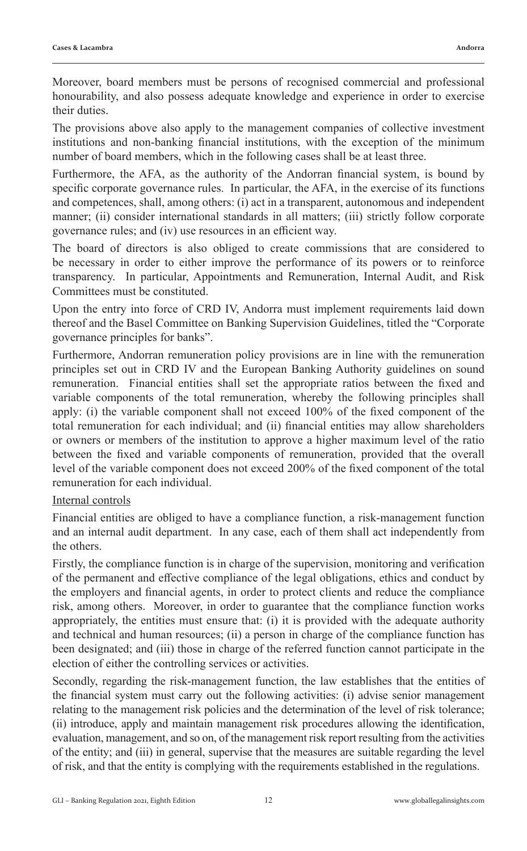Moreover, board members must be persons of recognised commercial and professional honourability, and also possess adequate knowledge and experience in order to exercise their duties.

The provisions above also apply to the management companies of collective investment institutions and non-banking financial institutions, with the exception of the minimum number of board members, which in the following cases shall be at least three.

Furthermore, the AFA, as the authority of the Andorran financial system, is bound by specific corporate governance rules. In particular, the AFA, in the exercise of its functions and competences, shall, among others: (i) act in a transparent, autonomous and independent manner; (ii) consider international standards in all matters; (iii) strictly follow corporate governance rules; and (iv) use resources in an efficient way.

The board of directors is also obliged to create commissions that are considered to be necessary in order to either improve the performance of its powers or to reinforce transparency. In particular, Appointments and Remuneration, Internal Audit, and Risk Committees must be constituted.

Upon the entry into force of CRD IV, Andorra must implement requirements laid down thereof and the Basel Committee on Banking Supervision Guidelines, titled the "Corporate governance principles for banks".

Furthermore, Andorran remuneration policy provisions are in line with the remuneration principles set out in CRD IV and the European Banking Authority guidelines on sound remuneration. Financial entities shall set the appropriate ratios between the fixed and variable components of the total remuneration, whereby the following principles shall apply: (i) the variable component shall not exceed 100% of the fixed component of the total remuneration for each individual; and (ii) financial entities may allow shareholders or owners or members of the institution to approve a higher maximum level of the ratio between the fixed and variable components of remuneration, provided that the overall level of the variable component does not exceed 200% of the fixed component of the total remuneration for each individual.

## Internal controls

Financial entities are obliged to have a compliance function, a risk-management function and an internal audit department. In any case, each of them shall act independently from the others.

Firstly, the compliance function is in charge of the supervision, monitoring and verification of the permanent and effective compliance of the legal obligations, ethics and conduct by the employers and financial agents, in order to protect clients and reduce the compliance risk, among others. Moreover, in order to guarantee that the compliance function works appropriately, the entities must ensure that: (i) it is provided with the adequate authority and technical and human resources; (ii) a person in charge of the compliance function has been designated; and (iii) those in charge of the referred function cannot participate in the election of either the controlling services or activities.

Secondly, regarding the risk-management function, the law establishes that the entities of the financial system must carry out the following activities: (i) advise senior management relating to the management risk policies and the determination of the level of risk tolerance; (ii) introduce, apply and maintain management risk procedures allowing the identification, evaluation, management, and so on, of the management risk report resulting from the activities of the entity; and (iii) in general, supervise that the measures are suitable regarding the level of risk, and that the entity is complying with the requirements established in the regulations.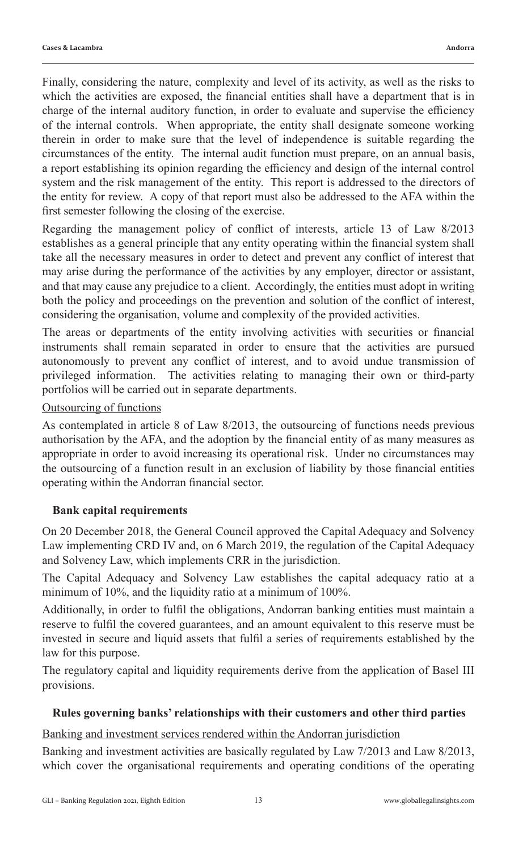Finally, considering the nature, complexity and level of its activity, as well as the risks to which the activities are exposed, the financial entities shall have a department that is in charge of the internal auditory function, in order to evaluate and supervise the efficiency of the internal controls. When appropriate, the entity shall designate someone working therein in order to make sure that the level of independence is suitable regarding the circumstances of the entity. The internal audit function must prepare, on an annual basis, a report establishing its opinion regarding the efficiency and design of the internal control system and the risk management of the entity. This report is addressed to the directors of the entity for review. A copy of that report must also be addressed to the AFA within the first semester following the closing of the exercise.

Regarding the management policy of conflict of interests, article 13 of Law 8/2013 establishes as a general principle that any entity operating within the financial system shall take all the necessary measures in order to detect and prevent any conflict of interest that may arise during the performance of the activities by any employer, director or assistant, and that may cause any prejudice to a client. Accordingly, the entities must adopt in writing both the policy and proceedings on the prevention and solution of the conflict of interest, considering the organisation, volume and complexity of the provided activities.

The areas or departments of the entity involving activities with securities or financial instruments shall remain separated in order to ensure that the activities are pursued autonomously to prevent any conflict of interest, and to avoid undue transmission of privileged information. The activities relating to managing their own or third-party portfolios will be carried out in separate departments.

## Outsourcing of functions

As contemplated in article 8 of Law 8/2013, the outsourcing of functions needs previous authorisation by the AFA, and the adoption by the financial entity of as many measures as appropriate in order to avoid increasing its operational risk. Under no circumstances may the outsourcing of a function result in an exclusion of liability by those financial entities operating within the Andorran financial sector.

#### **Bank capital requirements**

On 20 December 2018, the General Council approved the Capital Adequacy and Solvency Law implementing CRD IV and, on 6 March 2019, the regulation of the Capital Adequacy and Solvency Law, which implements CRR in the jurisdiction.

The Capital Adequacy and Solvency Law establishes the capital adequacy ratio at a minimum of 10%, and the liquidity ratio at a minimum of 100%.

Additionally, in order to fulfil the obligations, Andorran banking entities must maintain a reserve to fulfil the covered guarantees, and an amount equivalent to this reserve must be invested in secure and liquid assets that fulfil a series of requirements established by the law for this purpose.

The regulatory capital and liquidity requirements derive from the application of Basel III provisions.

#### **Rules governing banks' relationships with their customers and other third parties**

## Banking and investment services rendered within the Andorran jurisdiction

Banking and investment activities are basically regulated by Law 7/2013 and Law 8/2013, which cover the organisational requirements and operating conditions of the operating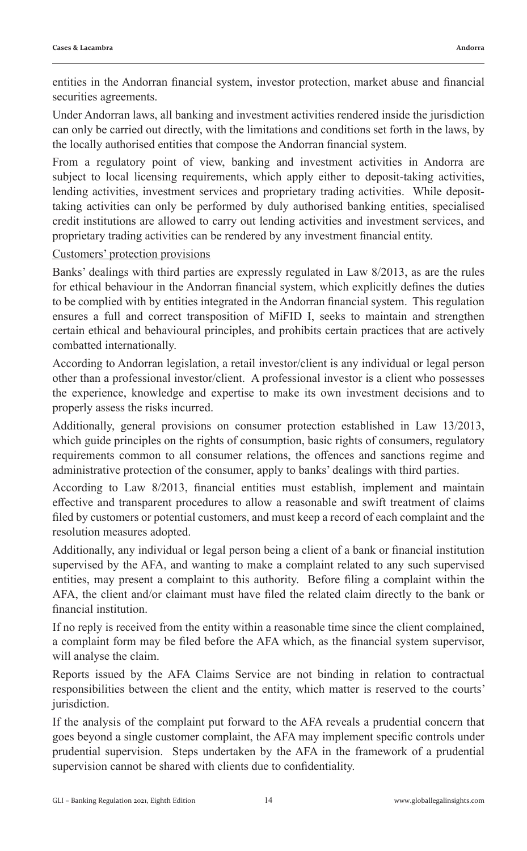entities in the Andorran financial system, investor protection, market abuse and financial securities agreements.

Under Andorran laws, all banking and investment activities rendered inside the jurisdiction can only be carried out directly, with the limitations and conditions set forth in the laws, by the locally authorised entities that compose the Andorran financial system.

From a regulatory point of view, banking and investment activities in Andorra are subject to local licensing requirements, which apply either to deposit-taking activities, lending activities, investment services and proprietary trading activities. While deposittaking activities can only be performed by duly authorised banking entities, specialised credit institutions are allowed to carry out lending activities and investment services, and proprietary trading activities can be rendered by any investment financial entity.

## Customers' protection provisions

Banks' dealings with third parties are expressly regulated in Law 8/2013, as are the rules for ethical behaviour in the Andorran financial system, which explicitly defines the duties to be complied with by entities integrated in the Andorran financial system. This regulation ensures a full and correct transposition of MiFID I, seeks to maintain and strengthen certain ethical and behavioural principles, and prohibits certain practices that are actively combatted internationally.

According to Andorran legislation, a retail investor/client is any individual or legal person other than a professional investor/client. A professional investor is a client who possesses the experience, knowledge and expertise to make its own investment decisions and to properly assess the risks incurred.

Additionally, general provisions on consumer protection established in Law 13/2013, which guide principles on the rights of consumption, basic rights of consumers, regulatory requirements common to all consumer relations, the offences and sanctions regime and administrative protection of the consumer, apply to banks' dealings with third parties.

According to Law 8/2013, financial entities must establish, implement and maintain effective and transparent procedures to allow a reasonable and swift treatment of claims filed by customers or potential customers, and must keep a record of each complaint and the resolution measures adopted.

Additionally, any individual or legal person being a client of a bank or financial institution supervised by the AFA, and wanting to make a complaint related to any such supervised entities, may present a complaint to this authority. Before filing a complaint within the AFA, the client and/or claimant must have filed the related claim directly to the bank or financial institution.

If no reply is received from the entity within a reasonable time since the client complained, a complaint form may be filed before the AFA which, as the financial system supervisor, will analyse the claim.

Reports issued by the AFA Claims Service are not binding in relation to contractual responsibilities between the client and the entity, which matter is reserved to the courts' jurisdiction.

If the analysis of the complaint put forward to the AFA reveals a prudential concern that goes beyond a single customer complaint, the AFA may implement specific controls under prudential supervision. Steps undertaken by the AFA in the framework of a prudential supervision cannot be shared with clients due to confidentiality.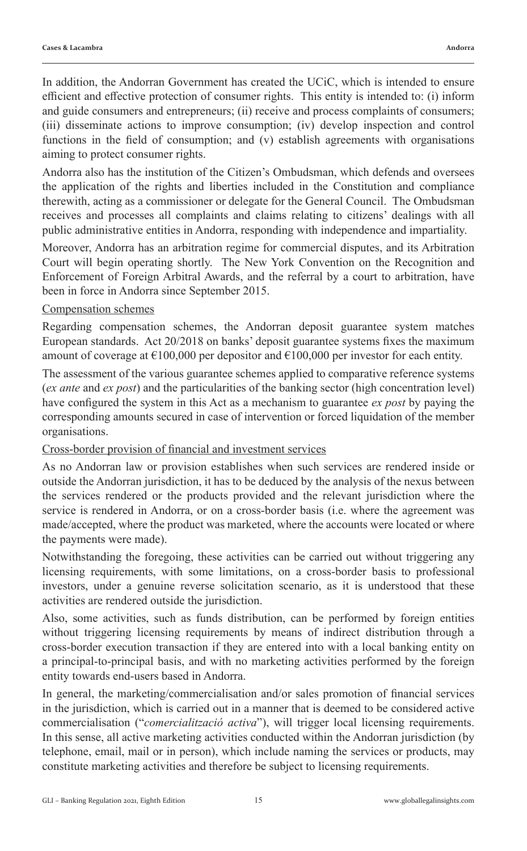In addition, the Andorran Government has created the UCiC, which is intended to ensure efficient and effective protection of consumer rights. This entity is intended to: (i) inform and guide consumers and entrepreneurs; (ii) receive and process complaints of consumers; (iii) disseminate actions to improve consumption; (iv) develop inspection and control functions in the field of consumption; and (v) establish agreements with organisations aiming to protect consumer rights.

Andorra also has the institution of the Citizen's Ombudsman, which defends and oversees the application of the rights and liberties included in the Constitution and compliance therewith, acting as a commissioner or delegate for the General Council. The Ombudsman receives and processes all complaints and claims relating to citizens' dealings with all public administrative entities in Andorra, responding with independence and impartiality.

Moreover, Andorra has an arbitration regime for commercial disputes, and its Arbitration Court will begin operating shortly. The New York Convention on the Recognition and Enforcement of Foreign Arbitral Awards, and the referral by a court to arbitration, have been in force in Andorra since September 2015.

## Compensation schemes

Regarding compensation schemes, the Andorran deposit guarantee system matches European standards. Act 20/2018 on banks' deposit guarantee systems fixes the maximum amount of coverage at  $\epsilon$ 100,000 per depositor and  $\epsilon$ 100,000 per investor for each entity.

The assessment of the various guarantee schemes applied to comparative reference systems (*ex ante* and *ex post*) and the particularities of the banking sector (high concentration level) have configured the system in this Act as a mechanism to guarantee *ex post* by paying the corresponding amounts secured in case of intervention or forced liquidation of the member organisations.

## Cross-border provision of financial and investment services

As no Andorran law or provision establishes when such services are rendered inside or outside the Andorran jurisdiction, it has to be deduced by the analysis of the nexus between the services rendered or the products provided and the relevant jurisdiction where the service is rendered in Andorra, or on a cross-border basis (i.e. where the agreement was made/accepted, where the product was marketed, where the accounts were located or where the payments were made).

Notwithstanding the foregoing, these activities can be carried out without triggering any licensing requirements, with some limitations, on a cross-border basis to professional investors, under a genuine reverse solicitation scenario, as it is understood that these activities are rendered outside the jurisdiction.

Also, some activities, such as funds distribution, can be performed by foreign entities without triggering licensing requirements by means of indirect distribution through a cross-border execution transaction if they are entered into with a local banking entity on a principal-to-principal basis, and with no marketing activities performed by the foreign entity towards end-users based in Andorra.

In general, the marketing/commercialisation and/or sales promotion of financial services in the jurisdiction, which is carried out in a manner that is deemed to be considered active commercialisation ("*comercialització activa*"), will trigger local licensing requirements. In this sense, all active marketing activities conducted within the Andorran jurisdiction (by telephone, email, mail or in person), which include naming the services or products, may constitute marketing activities and therefore be subject to licensing requirements.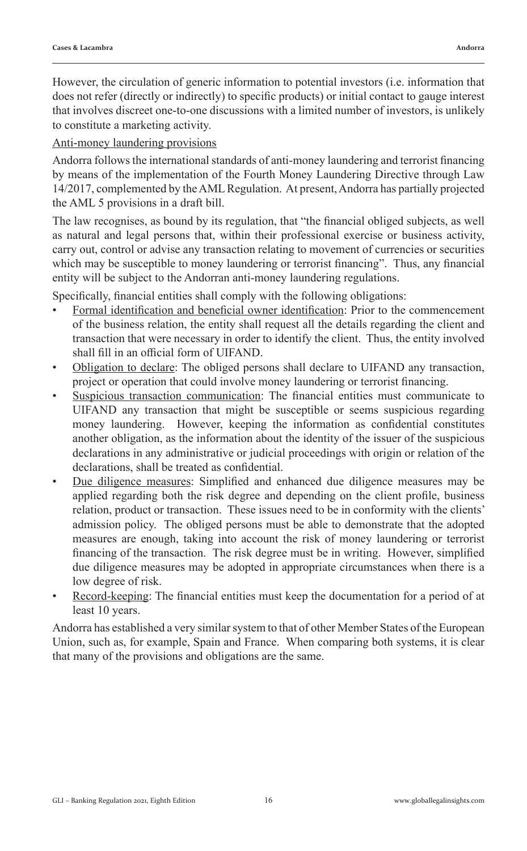However, the circulation of generic information to potential investors (i.e. information that does not refer (directly or indirectly) to specific products) or initial contact to gauge interest that involves discreet one-to-one discussions with a limited number of investors, is unlikely to constitute a marketing activity.

## Anti-money laundering provisions

Andorra follows the international standards of anti-money laundering and terrorist financing by means of the implementation of the Fourth Money Laundering Directive through Law 14/2017, complemented by the AML Regulation. At present, Andorra has partially projected the AML 5 provisions in a draft bill.

The law recognises, as bound by its regulation, that "the financial obliged subjects, as well as natural and legal persons that, within their professional exercise or business activity, carry out, control or advise any transaction relating to movement of currencies or securities which may be susceptible to money laundering or terrorist financing". Thus, any financial entity will be subject to the Andorran anti-money laundering regulations.

Specifically, financial entities shall comply with the following obligations:

- Formal identification and beneficial owner identification: Prior to the commencement of the business relation, the entity shall request all the details regarding the client and transaction that were necessary in order to identify the client. Thus, the entity involved shall fill in an official form of UIFAND.
- Obligation to declare: The obliged persons shall declare to UIFAND any transaction, project or operation that could involve money laundering or terrorist financing.
- Suspicious transaction communication: The financial entities must communicate to UIFAND any transaction that might be susceptible or seems suspicious regarding money laundering. However, keeping the information as confidential constitutes another obligation, as the information about the identity of the issuer of the suspicious declarations in any administrative or judicial proceedings with origin or relation of the declarations, shall be treated as confidential.
- Due diligence measures: Simplified and enhanced due diligence measures may be applied regarding both the risk degree and depending on the client profile, business relation, product or transaction. These issues need to be in conformity with the clients' admission policy. The obliged persons must be able to demonstrate that the adopted measures are enough, taking into account the risk of money laundering or terrorist financing of the transaction. The risk degree must be in writing. However, simplified due diligence measures may be adopted in appropriate circumstances when there is a low degree of risk.
- Record-keeping: The financial entities must keep the documentation for a period of at least 10 years.

Andorra has established a very similar system to that of other Member States of the European Union, such as, for example, Spain and France. When comparing both systems, it is clear that many of the provisions and obligations are the same.